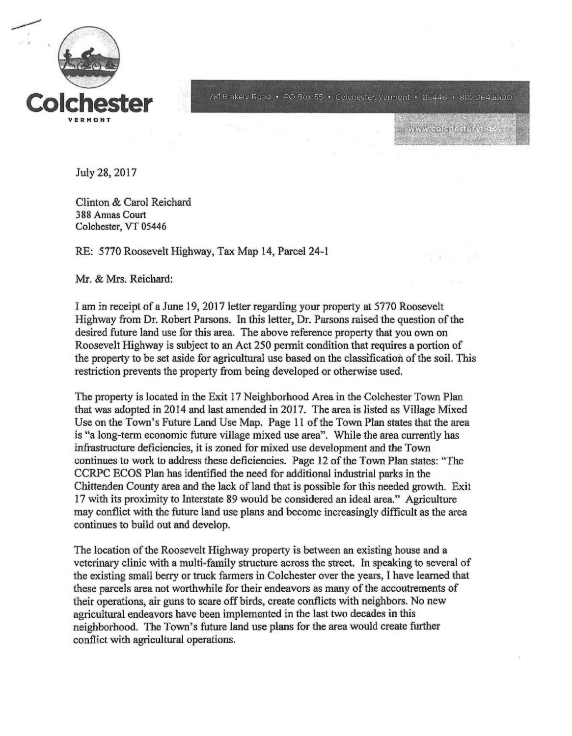

781 Blakely Road • PO Box 55 • Colchester, Vermont • 05446 • 802.264.5500

**WARN celehestervite** 

July 28, 2017

Clinton & Carol Reichard 388 Annas Court Colchester, VT 05446

RE: 5770 Roosevelt Highway, Tax Map 14, Parcel 24-1

Mr. & Mrs. Reichard:

I am in receipt of a June 19, 2017 letter regarding your property at 5770 Roosevelt Highway from Dr. Robert Parsons. In this letter, Dr. Parsons raised the question of the desired future land use for this area. The above reference property that you own on Roosevelt Highway is subject to an Act 250 permit condition that requires a portion of the property to be set aside for agricultural use based on the classification of the soil. This restriction prevents the property from being developed or otherwise used.

The property is located in the Exit 17 Neighborhood Area in the Colchester Town Plan that was adopted in 2014 and last amended in 2017. The area is listed as Village Mixed Use on the Town's Future Land Use Map. Page 11 of the Town Plan states that the area is "a long-term economic future village mixed use area". While the area currently has infrastructure deficiencies, it is zoned for mixed use development and the Town continues to work to address these deficiencies. Page 12 of the Town Plan states: "The CCRPC ECOS Plan has identified the need for additional industrial parks in the Chittenden County area and the lack of land that is possible for this needed growth. Exit 17 with its proximity to Interstate 89 would be considered an ideal area." Agriculture may conflict with the future land use plans and become increasingly difficult as the area continues to build out and develop.

The location of the Roosevelt Highway property is between an existing house and a veterinary clinic with a multi-family structure across the street. In speaking to several of the existing small berry or truck farmers in Colchester over the years, I have learned that these parcels area not worthwhile for their endeavors as many of the accoutrements of their operations, air guns to scare off birds, create conflicts with neighbors. No new agricultural endeavors have been implemented in the last two decades in this neighborhood. The Town's future land use plans for the area would create further conflict with agricultural operations.